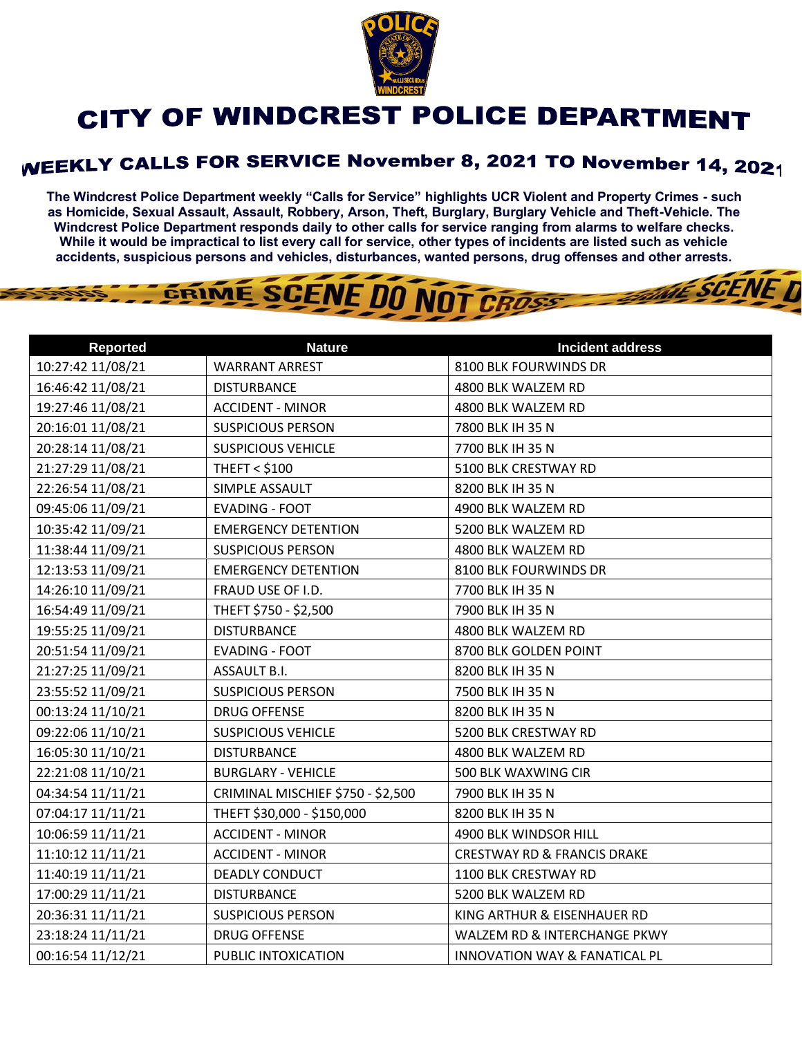

## CITY OF WINDCREST POLICE DEPARTMENT

## **WEEKLY CALLS FOR SERVICE November 8, 2021 TO November 14, 2021**

**The Windcrest Police Department weekly "Calls for Service" highlights UCR Violent and Property Crimes - such as Homicide, Sexual Assault, Assault, Robbery, Arson, Theft, Burglary, Burglary Vehicle and Theft-Vehicle. The Windcrest Police Department responds daily to other calls for service ranging from alarms to welfare checks. While it would be impractical to list every call for service, other types of incidents are listed such as vehicle accidents, suspicious persons and vehicles, disturbances, wanted persons, drug offenses and other arrests.** 

THE SCENE D



| <b>Reported</b>   | <b>Nature</b>                     | <b>Incident address</b>                |
|-------------------|-----------------------------------|----------------------------------------|
| 10:27:42 11/08/21 | <b>WARRANT ARREST</b>             | 8100 BLK FOURWINDS DR                  |
| 16:46:42 11/08/21 | <b>DISTURBANCE</b>                | 4800 BLK WALZEM RD                     |
| 19:27:46 11/08/21 | <b>ACCIDENT - MINOR</b>           | 4800 BLK WALZEM RD                     |
| 20:16:01 11/08/21 | <b>SUSPICIOUS PERSON</b>          | 7800 BLK IH 35 N                       |
| 20:28:14 11/08/21 | <b>SUSPICIOUS VEHICLE</b>         | 7700 BLK IH 35 N                       |
| 21:27:29 11/08/21 | <b>THEFT &lt; \$100</b>           | 5100 BLK CRESTWAY RD                   |
| 22:26:54 11/08/21 | SIMPLE ASSAULT                    | 8200 BLK IH 35 N                       |
| 09:45:06 11/09/21 | <b>EVADING - FOOT</b>             | 4900 BLK WALZEM RD                     |
| 10:35:42 11/09/21 | <b>EMERGENCY DETENTION</b>        | 5200 BLK WALZEM RD                     |
| 11:38:44 11/09/21 | <b>SUSPICIOUS PERSON</b>          | 4800 BLK WALZEM RD                     |
| 12:13:53 11/09/21 | <b>EMERGENCY DETENTION</b>        | 8100 BLK FOURWINDS DR                  |
| 14:26:10 11/09/21 | FRAUD USE OF I.D.                 | 7700 BLK IH 35 N                       |
| 16:54:49 11/09/21 | THEFT \$750 - \$2,500             | 7900 BLK IH 35 N                       |
| 19:55:25 11/09/21 | <b>DISTURBANCE</b>                | 4800 BLK WALZEM RD                     |
| 20:51:54 11/09/21 | <b>EVADING - FOOT</b>             | 8700 BLK GOLDEN POINT                  |
| 21:27:25 11/09/21 | ASSAULT B.I.                      | 8200 BLK IH 35 N                       |
| 23:55:52 11/09/21 | <b>SUSPICIOUS PERSON</b>          | 7500 BLK IH 35 N                       |
| 00:13:24 11/10/21 | <b>DRUG OFFENSE</b>               | 8200 BLK IH 35 N                       |
| 09:22:06 11/10/21 | <b>SUSPICIOUS VEHICLE</b>         | 5200 BLK CRESTWAY RD                   |
| 16:05:30 11/10/21 | <b>DISTURBANCE</b>                | 4800 BLK WALZEM RD                     |
| 22:21:08 11/10/21 | <b>BURGLARY - VEHICLE</b>         | 500 BLK WAXWING CIR                    |
| 04:34:54 11/11/21 | CRIMINAL MISCHIEF \$750 - \$2,500 | 7900 BLK IH 35 N                       |
| 07:04:17 11/11/21 | THEFT \$30,000 - \$150,000        | 8200 BLK IH 35 N                       |
| 10:06:59 11/11/21 | <b>ACCIDENT - MINOR</b>           | 4900 BLK WINDSOR HILL                  |
| 11:10:12 11/11/21 | <b>ACCIDENT - MINOR</b>           | <b>CRESTWAY RD &amp; FRANCIS DRAKE</b> |
| 11:40:19 11/11/21 | <b>DEADLY CONDUCT</b>             | 1100 BLK CRESTWAY RD                   |
| 17:00:29 11/11/21 | <b>DISTURBANCE</b>                | 5200 BLK WALZEM RD                     |
| 20:36:31 11/11/21 | <b>SUSPICIOUS PERSON</b>          | KING ARTHUR & EISENHAUER RD            |
| 23:18:24 11/11/21 | <b>DRUG OFFENSE</b>               | WALZEM RD & INTERCHANGE PKWY           |
| 00:16:54 11/12/21 | PUBLIC INTOXICATION               | INNOVATION WAY & FANATICAL PL          |